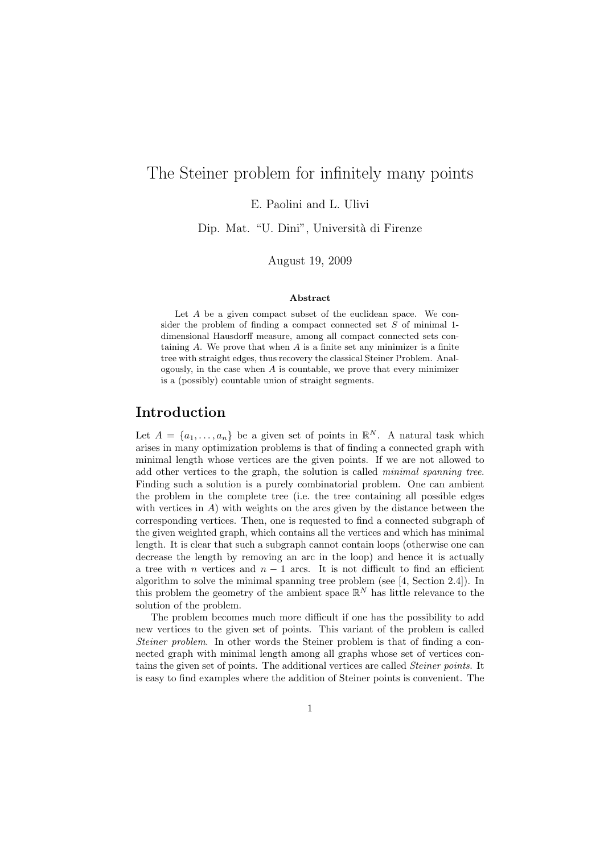# The Steiner problem for infinitely many points

E. Paolini and L. Ulivi

Dip. Mat. "U. Dini", Università di Firenze

August 19, 2009

#### Abstract

Let A be a given compact subset of the euclidean space. We consider the problem of finding a compact connected set  $S$  of minimal 1dimensional Hausdorff measure, among all compact connected sets containing  $A$ . We prove that when  $A$  is a finite set any minimizer is a finite tree with straight edges, thus recovery the classical Steiner Problem. Analogously, in the case when  $A$  is countable, we prove that every minimizer is a (possibly) countable union of straight segments.

### Introduction

Let  $A = \{a_1, \ldots, a_n\}$  be a given set of points in  $\mathbb{R}^N$ . A natural task which arises in many optimization problems is that of finding a connected graph with minimal length whose vertices are the given points. If we are not allowed to add other vertices to the graph, the solution is called minimal spanning tree. Finding such a solution is a purely combinatorial problem. One can ambient the problem in the complete tree (i.e. the tree containing all possible edges with vertices in  $A$ ) with weights on the arcs given by the distance between the corresponding vertices. Then, one is requested to find a connected subgraph of the given weighted graph, which contains all the vertices and which has minimal length. It is clear that such a subgraph cannot contain loops (otherwise one can decrease the length by removing an arc in the loop) and hence it is actually a tree with n vertices and  $n-1$  arcs. It is not difficult to find an efficient algorithm to solve the minimal spanning tree problem (see [4, Section 2.4]). In this problem the geometry of the ambient space  $\mathbb{R}^N$  has little relevance to the solution of the problem.

The problem becomes much more difficult if one has the possibility to add new vertices to the given set of points. This variant of the problem is called Steiner problem. In other words the Steiner problem is that of finding a connected graph with minimal length among all graphs whose set of vertices contains the given set of points. The additional vertices are called Steiner points. It is easy to find examples where the addition of Steiner points is convenient. The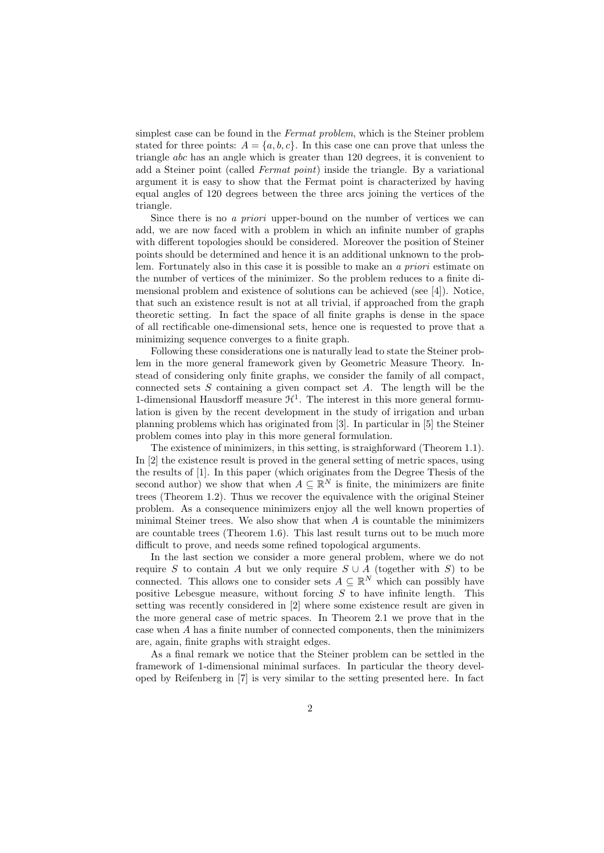simplest case can be found in the Fermat problem, which is the Steiner problem stated for three points:  $A = \{a, b, c\}$ . In this case one can prove that unless the triangle abc has an angle which is greater than 120 degrees, it is convenient to add a Steiner point (called Fermat point) inside the triangle. By a variational argument it is easy to show that the Fermat point is characterized by having equal angles of 120 degrees between the three arcs joining the vertices of the triangle.

Since there is no a priori upper-bound on the number of vertices we can add, we are now faced with a problem in which an infinite number of graphs with different topologies should be considered. Moreover the position of Steiner points should be determined and hence it is an additional unknown to the problem. Fortunately also in this case it is possible to make an a priori estimate on the number of vertices of the minimizer. So the problem reduces to a finite dimensional problem and existence of solutions can be achieved (see [4]). Notice, that such an existence result is not at all trivial, if approached from the graph theoretic setting. In fact the space of all finite graphs is dense in the space of all rectificable one-dimensional sets, hence one is requested to prove that a minimizing sequence converges to a finite graph.

Following these considerations one is naturally lead to state the Steiner problem in the more general framework given by Geometric Measure Theory. Instead of considering only finite graphs, we consider the family of all compact, connected sets  $S$  containing a given compact set  $A$ . The length will be the 1-dimensional Hausdorff measure  $\mathcal{H}^1$ . The interest in this more general formulation is given by the recent development in the study of irrigation and urban planning problems which has originated from [3]. In particular in [5] the Steiner problem comes into play in this more general formulation.

The existence of minimizers, in this setting, is straighforward (Theorem 1.1). In [2] the existence result is proved in the general setting of metric spaces, using the results of [1]. In this paper (which originates from the Degree Thesis of the second author) we show that when  $A \subseteq \mathbb{R}^N$  is finite, the minimizers are finite trees (Theorem 1.2). Thus we recover the equivalence with the original Steiner problem. As a consequence minimizers enjoy all the well known properties of minimal Steiner trees. We also show that when  $A$  is countable the minimizers are countable trees (Theorem 1.6). This last result turns out to be much more difficult to prove, and needs some refined topological arguments.

In the last section we consider a more general problem, where we do not require S to contain A but we only require  $S \cup A$  (together with S) to be connected. This allows one to consider sets  $A \subseteq \mathbb{R}^N$  which can possibly have positive Lebesgue measure, without forcing  $S$  to have infinite length. This setting was recently considered in [2] where some existence result are given in the more general case of metric spaces. In Theorem 2.1 we prove that in the case when A has a finite number of connected components, then the minimizers are, again, finite graphs with straight edges.

As a final remark we notice that the Steiner problem can be settled in the framework of 1-dimensional minimal surfaces. In particular the theory developed by Reifenberg in [7] is very similar to the setting presented here. In fact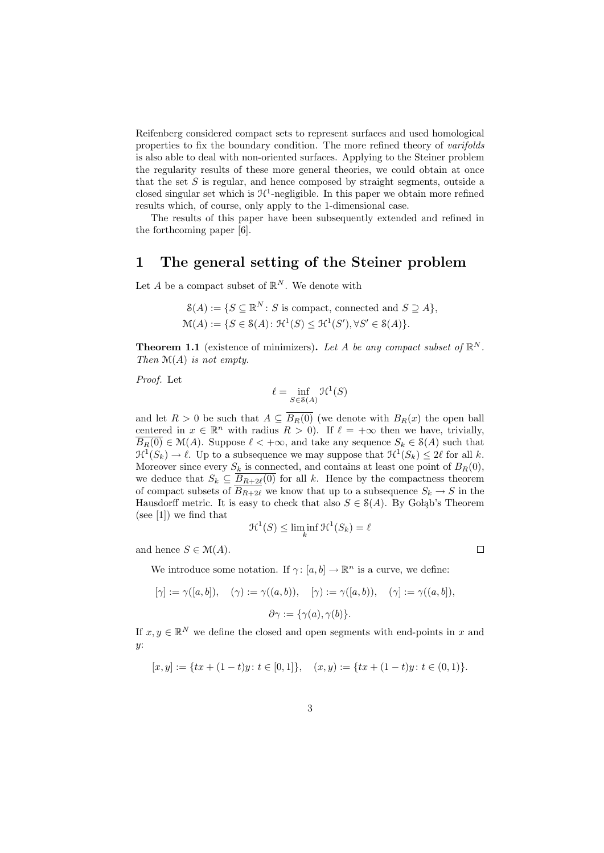Reifenberg considered compact sets to represent surfaces and used homological properties to fix the boundary condition. The more refined theory of varifolds is also able to deal with non-oriented surfaces. Applying to the Steiner problem the regularity results of these more general theories, we could obtain at once that the set  $S$  is regular, and hence composed by straight segments, outside a closed singular set which is  $\mathcal{H}^1$ -negligible. In this paper we obtain more refined results which, of course, only apply to the 1-dimensional case.

The results of this paper have been subsequently extended and refined in the forthcoming paper [6].

#### 1 The general setting of the Steiner problem

Let A be a compact subset of  $\mathbb{R}^N$ . We denote with

$$
\mathcal{S}(A) := \{ S \subseteq \mathbb{R}^N : S \text{ is compact, connected and } S \supseteq A \},
$$
  

$$
\mathcal{M}(A) := \{ S \in \mathcal{S}(A) : \mathcal{H}^1(S) \leq \mathcal{H}^1(S'), \forall S' \in \mathcal{S}(A) \}.
$$

**Theorem 1.1** (existence of minimizers). Let A be any compact subset of  $\mathbb{R}^N$ . Then  $\mathcal{M}(A)$  is not empty.

Proof. Let

$$
\ell = \inf_{S \in \mathcal{S}(A)} \mathcal{H}^1(S)
$$

and let  $R > 0$  be such that  $A \subseteq \overline{B_R(0)}$  (we denote with  $B_R(x)$  the open ball centered in  $x \in \mathbb{R}^n$  with radius  $R > 0$ ). If  $\ell = +\infty$  then we have, trivially,  $\overline{B_R(0)} \in \mathcal{M}(A)$ . Suppose  $\ell < +\infty$ , and take any sequence  $S_k \in \mathcal{S}(A)$  such that  $\mathfrak{H}^1(S_k) \to \ell$ . Up to a subsequence we may suppose that  $\mathfrak{H}^1(S_k) \leq 2\ell$  for all k. Moreover since every  $S_k$  is connected, and contains at least one point of  $B_R(0)$ , we deduce that  $S_k \subseteq \overline{B_{R+2\ell}(0)}$  for all k. Hence by the compactness theorem of compact subsets of  $\overline{B_{R+2\ell}}$  we know that up to a subsequence  $S_k \to S$  in the Hausdorff metric. It is easy to check that also  $S \in S(A)$ . By Golab's Theorem (see [1]) we find that

$$
\mathcal{H}^1(S) \le \liminf_k \mathcal{H}^1(S_k) = \ell
$$

and hence  $S \in \mathcal{M}(A)$ .

 $\Box$ 

We introduce some notation. If  $\gamma: [a, b] \to \mathbb{R}^n$  is a curve, we define:

$$
[\gamma] := \gamma([a, b]), \quad (\gamma) := \gamma((a, b)), \quad [\gamma) := \gamma([a, b)), \quad (\gamma] := \gamma((a, b]),
$$

$$
\partial \gamma := \{\gamma(a), \gamma(b)\}.
$$

If  $x, y \in \mathbb{R}^N$  we define the closed and open segments with end-points in x and  $y$ :

$$
[x,y]:=\{tx+(1-t)y\colon t\in [0,1]\},\quad (x,y):=\{tx+(1-t)y\colon t\in (0,1)\}.
$$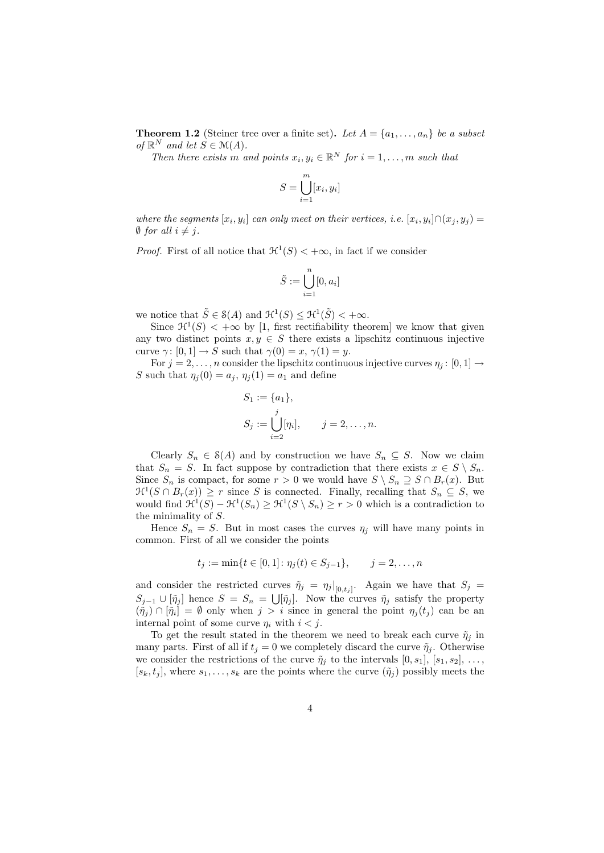**Theorem 1.2** (Steiner tree over a finite set). Let  $A = \{a_1, \ldots, a_n\}$  be a subset of  $\mathbb{R}^N$  and let  $S \in \mathcal{M}(A)$ .

Then there exists m and points  $x_i, y_i \in \mathbb{R}^N$  for  $i = 1, \ldots, m$  such that

$$
S = \bigcup_{i=1}^{m} [x_i, y_i]
$$

where the segments  $[x_i, y_i]$  can only meet on their vertices, i.e.  $[x_i, y_i] \cap (x_j, y_j) =$  $\emptyset$  for all  $i \neq j$ .

*Proof.* First of all notice that  $\mathcal{H}^1(S) < +\infty$ , in fact if we consider

$$
\tilde{S}:=\bigcup_{i=1}^n[0,a_i]
$$

we notice that  $\tilde{S} \in \mathcal{S}(A)$  and  $\mathcal{H}^1(S) \leq \mathcal{H}^1(\tilde{S}) < +\infty$ .

Since  $\mathcal{H}^1(S) < +\infty$  by [1, first rectifiability theorem] we know that given any two distinct points  $x, y \in S$  there exists a lipschitz continuous injective curve  $\gamma: [0, 1] \to S$  such that  $\gamma(0) = x, \gamma(1) = y$ .

For  $j = 2, \ldots, n$  consider the lipschitz continuous injective curves  $\eta_i : [0, 1] \rightarrow$ S such that  $\eta_i(0) = a_i$ ,  $\eta_i(1) = a_1$  and define

$$
S_1 := \{a_1\}, S_j := \bigcup_{i=2}^j [\eta_i], \qquad j = 2, ..., n.
$$

Clearly  $S_n \in \mathcal{S}(A)$  and by construction we have  $S_n \subseteq S$ . Now we claim that  $S_n = S$ . In fact suppose by contradiction that there exists  $x \in S \setminus S_n$ . Since  $S_n$  is compact, for some  $r > 0$  we would have  $S \setminus S_n \supseteq S \cap B_r(x)$ . But  $\mathfrak{H}^1(S \cap B_r(x)) \geq r$  since S is connected. Finally, recalling that  $S_n \subseteq S$ , we would find  $\mathcal{H}^1(S) - \mathcal{H}^1(S_n) \geq \mathcal{H}^1(S \setminus S_n) \geq r > 0$  which is a contradiction to the minimality of S.

Hence  $S_n = S$ . But in most cases the curves  $\eta_j$  will have many points in common. First of all we consider the points

$$
t_j := \min\{t \in [0,1]: \eta_j(t) \in S_{j-1}\}, \qquad j = 2, \dots, n
$$

and consider the restricted curves  $\tilde{\eta}_j = \eta_j|_{[0,t_j]}$ . Again we have that  $S_j =$  $S_{j-1} \cup [\tilde{\eta}_j]$  hence  $S = S_n = \bigcup [\tilde{\eta}_j]$ . Now the curves  $\tilde{\eta}_j$  satisfy the property  $(\tilde{\eta}_j) \cap [\tilde{\eta}_i] = \emptyset$  only when  $j > i$  since in general the point  $\eta_j(t_j)$  can be an internal point of some curve  $\eta_i$  with  $i < j$ .

To get the result stated in the theorem we need to break each curve  $\tilde{\eta}_i$  in many parts. First of all if  $t_j = 0$  we completely discard the curve  $\tilde{\eta}_j$ . Otherwise we consider the restrictions of the curve  $\tilde{\eta}_i$  to the intervals  $[0, s_1]$ ,  $[s_1, s_2]$ , ...  $[s_k, t_j]$ , where  $s_1, \ldots, s_k$  are the points where the curve  $(\tilde{\eta}_j)$  possibly meets the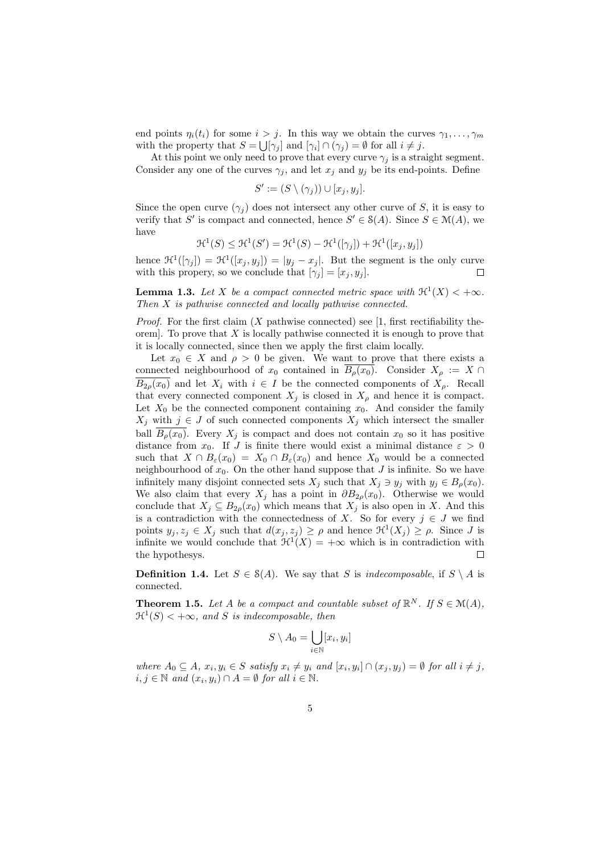end points  $\eta_i(t_i)$  for some  $i > j$ . In this way we obtain the curves  $\gamma_1, \ldots, \gamma_m$ with the property that  $S = \bigcup [\gamma_j]$  and  $[\gamma_i] \cap (\gamma_j) = \emptyset$  for all  $i \neq j$ .

At this point we only need to prove that every curve  $\gamma_j$  is a straight segment. Consider any one of the curves  $\gamma_j$ , and let  $x_j$  and  $y_j$  be its end-points. Define

$$
S' := (S \setminus (\gamma_j)) \cup [x_j, y_j].
$$

Since the open curve  $(\gamma_i)$  does not intersect any other curve of S, it is easy to verify that S' is compact and connected, hence  $S' \in \mathcal{S}(A)$ . Since  $S \in \mathcal{M}(A)$ , we have

$$
\mathcal{H}^1(S) \le \mathcal{H}^1(S') = \mathcal{H}^1(S) - \mathcal{H}^1([\gamma_j]) + \mathcal{H}^1([x_j, y_j])
$$

hence  $\mathcal{H}^1([\gamma_j]) = \mathcal{H}^1([x_j, y_j]) = |y_j - x_j|$ . But the segment is the only curve with this propery, so we conclude that  $[\gamma_i] = [x_i, y_i]$ .  $\Box$ 

**Lemma 1.3.** Let X be a compact connected metric space with  $\mathcal{H}^1(X) < +\infty$ . Then X is pathwise connected and locally pathwise connected.

*Proof.* For the first claim  $(X$  pathwise connected) see [1, first rectifiability theorem]. To prove that  $X$  is locally pathwise connected it is enough to prove that it is locally connected, since then we apply the first claim locally.

Let  $x_0 \in X$  and  $\rho > 0$  be given. We want to prove that there exists a connected neighbourhood of  $x_0$  contained in  $\overline{B_\rho(x_0)}$ . Consider  $X_\rho := X \cap$  $\overline{B_{2o}(x_0)}$  and let  $X_i$  with  $i \in I$  be the connected components of  $X_o$ . Recall that every connected component  $X_i$  is closed in  $X_\rho$  and hence it is compact. Let  $X_0$  be the connected component containing  $x_0$ . And consider the family  $X_j$  with  $j \in J$  of such connected components  $X_j$  which intersect the smaller ball  $B_{\rho}(x_0)$ . Every  $X_j$  is compact and does not contain  $x_0$  so it has positive distance from  $x_0$ . If J is finite there would exist a minimal distance  $\varepsilon > 0$ such that  $X \cap B_{\varepsilon}(x_0) = X_0 \cap B_{\varepsilon}(x_0)$  and hence  $X_0$  would be a connected neighbourhood of  $x_0$ . On the other hand suppose that  $J$  is infinite. So we have infinitely many disjoint connected sets  $X_j$  such that  $X_j \ni y_j$  with  $y_j \in B_\rho(x_0)$ . We also claim that every  $X_j$  has a point in  $\partial B_{2\rho}(x_0)$ . Otherwise we would conclude that  $X_j \subseteq B_{2\rho}(x_0)$  which means that  $X_j$  is also open in X. And this is a contradiction with the connectedness of X. So for every  $j \in J$  we find points  $y_j, z_j \in X_j$  such that  $d(x_j, z_j) \ge \rho$  and hence  $\mathcal{H}^1(X_j) \ge \rho$ . Since J is infinite we would conclude that  $\mathcal{H}^1(X) = +\infty$  which is in contradiction with the hypothesys.  $\Box$ 

**Definition 1.4.** Let  $S \in S(A)$ . We say that S is *indecomposable*, if  $S \setminus A$  is connected.

**Theorem 1.5.** Let A be a compact and countable subset of  $\mathbb{R}^N$ . If  $S \in \mathcal{M}(A)$ ,  $\mathfrak{R}^1(S) < +\infty$ , and S is indecomposable, then

$$
S \setminus A_0 = \bigcup_{i \in \mathbb{N}} [x_i, y_i]
$$

where  $A_0 \subseteq A$ ,  $x_i, y_i \in S$  satisfy  $x_i \neq y_i$  and  $[x_i, y_i] \cap (x_j, y_j) = \emptyset$  for all  $i \neq j$ ,  $i, j \in \mathbb{N}$  and  $(x_i, y_i) \cap A = \emptyset$  for all  $i \in \mathbb{N}$ .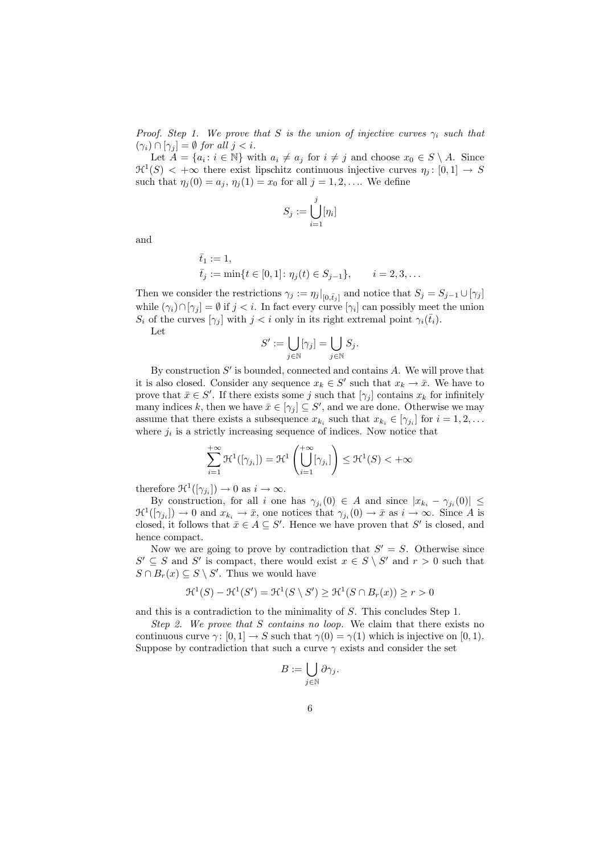Proof. Step 1. We prove that S is the union of injective curves  $\gamma_i$  such that  $(\gamma_i) \cap [\gamma_j] = \emptyset$  for all  $j < i$ .

Let  $A = \{a_i : i \in \mathbb{N}\}\$  with  $a_i \neq a_j$  for  $i \neq j$  and choose  $x_0 \in S \setminus A$ . Since  $\mathfrak{H}^1(S) < +\infty$  there exist lipschitz continuous injective curves  $\eta_j: [0,1] \to S$ such that  $\eta_j(0) = a_j, \eta_j(1) = x_0$  for all  $j = 1, 2, ...$  We define

$$
S_j := \bigcup_{i=1}^j [\eta_i]
$$

and

$$
\bar{t}_1 := 1,
$$
  
\n $\bar{t}_j := \min\{t \in [0, 1]: \eta_j(t) \in S_{j-1}\}, \quad i = 2, 3, ...$ 

Then we consider the restrictions  $\gamma_j := \eta_j|_{[0, \bar{t}_j]}$  and notice that  $S_j = S_{j-1} \cup [\gamma_j]$ while  $(\gamma_i) \cap [\gamma_j] = \emptyset$  if  $j < i$ . In fact every curve  $[\gamma_i]$  can possibly meet the union  $S_i$  of the curves  $[\gamma_i]$  with  $j < i$  only in its right extremal point  $\gamma_i(\bar{t}_i)$ . Let

$$
S' := \bigcup_{j \in \mathbb{N}} [\gamma_j] = \bigcup_{j \in \mathbb{N}} S_j.
$$

By construction  $S'$  is bounded, connected and contains  $A$ . We will prove that it is also closed. Consider any sequence  $x_k \in S'$  such that  $x_k \to \bar{x}$ . We have to prove that  $\bar{x} \in S'$ . If there exists some j such that  $[\gamma_j]$  contains  $x_k$  for infinitely many indices k, then we have  $\bar{x} \in [\gamma_j] \subseteq S'$ , and we are done. Otherwise we may assume that there exists a subsequence  $x_{k_i}$  such that  $x_{k_i} \in [\gamma_{j_i}]$  for  $i = 1, 2, \ldots$ where  $j_i$  is a strictly increasing sequence of indices. Now notice that

$$
\sum_{i=1}^{+\infty} \mathcal{H}^1([\gamma_{j_i}]) = \mathcal{H}^1\left(\bigcup_{i=1}^{+\infty} [\gamma_{j_i}]\right) \le \mathcal{H}^1(S) < +\infty
$$

therefore  $\mathfrak{H}^1([\gamma_{j_i}]) \to 0$  as  $i \to \infty$ .

By construction, for all i one has  $\gamma_{j_i}(0) \in A$  and since  $|x_{k_i} - \gamma_{j_i}(0)| \leq$  $\mathfrak{H}^1([\gamma_{j_i}]) \to 0$  and  $x_{k_i} \to \bar{x}$ , one notices that  $\gamma_{j_i}(0) \to \bar{x}$  as  $i \to \infty$ . Since A is closed, it follows that  $\bar{x} \in A \subseteq S'$ . Hence we have proven that S' is closed, and hence compact.

Now we are going to prove by contradiction that  $S' = S$ . Otherwise since  $S' \subseteq S$  and  $S'$  is compact, there would exist  $x \in S \setminus S'$  and  $r > 0$  such that  $S \cap B_r(x) \subseteq S \setminus S'$ . Thus we would have

$$
\mathcal{H}^1(S) - \mathcal{H}^1(S') = \mathcal{H}^1(S \setminus S') \ge \mathcal{H}^1(S \cap B_r(x)) \ge r > 0
$$

and this is a contradiction to the minimality of S. This concludes Step 1.

Step 2. We prove that  $S$  contains no loop. We claim that there exists no continuous curve  $\gamma: [0, 1] \to S$  such that  $\gamma(0) = \gamma(1)$  which is injective on [0, 1). Suppose by contradiction that such a curve  $\gamma$  exists and consider the set

$$
B:=\bigcup_{j\in\mathbb{N}}\partial\gamma_j.
$$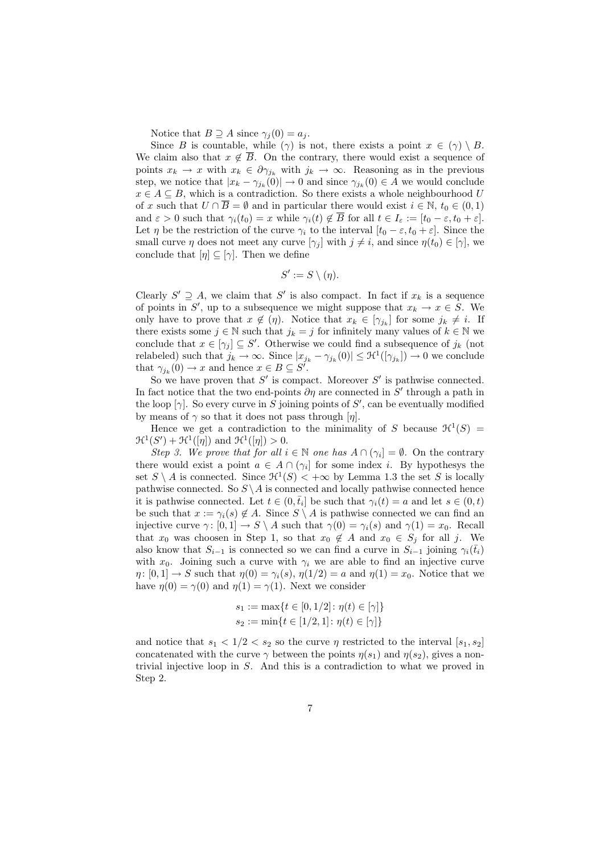Notice that  $B \supseteq A$  since  $\gamma_j(0) = a_j$ .

Since B is countable, while ( $\gamma$ ) is not, there exists a point  $x \in (\gamma) \setminus B$ . We claim also that  $x \notin \overline{B}$ . On the contrary, there would exist a sequence of points  $x_k \to x$  with  $x_k \in \partial \gamma_{j_k}$  with  $j_k \to \infty$ . Reasoning as in the previous step, we notice that  $|x_k - \gamma_{j_k}(0)| \to 0$  and since  $\gamma_{j_k}(0) \in A$  we would conclude  $x \in A \subseteq B$ , which is a contradiction. So there exists a whole neighbourhood U of x such that  $U \cap \overline{B} = \emptyset$  and in particular there would exist  $i \in \mathbb{N}$ ,  $t_0 \in (0, 1)$ and  $\varepsilon > 0$  such that  $\gamma_i(t_0) = x$  while  $\gamma_i(t) \notin \overline{B}$  for all  $t \in I_{\varepsilon} := [t_0 - \varepsilon, t_0 + \varepsilon]$ . Let  $\eta$  be the restriction of the curve  $\gamma_i$  to the interval  $[t_0 - \varepsilon, t_0 + \varepsilon]$ . Since the small curve  $\eta$  does not meet any curve  $[\gamma_i]$  with  $j \neq i$ , and since  $\eta(t_0) \in [\gamma]$ , we conclude that  $[\eta] \subseteq [\gamma]$ . Then we define

$$
S' := S \setminus (\eta).
$$

Clearly  $S' \supseteq A$ , we claim that S' is also compact. In fact if  $x_k$  is a sequence of points in S', up to a subsequence we might suppose that  $x_k \to x \in S$ . We only have to prove that  $x \notin (\eta)$ . Notice that  $x_k \in [\gamma_{j_k}]$  for some  $j_k \neq i$ . If there exists some  $j \in \mathbb{N}$  such that  $j_k = j$  for infinitely many values of  $k \in \mathbb{N}$  we conclude that  $x \in [\gamma_j] \subseteq S'$ . Otherwise we could find a subsequence of  $j_k$  (not relabeled) such that  $j_k \to \infty$ . Since  $|x_{j_k} - \gamma_{j_k}(0)| \leq \mathcal{H}^1([\gamma_{j_k}]) \to 0$  we conclude that  $\gamma_{j_k}(0) \to x$  and hence  $x \in B \subseteq S^j$ .

So we have proven that  $S'$  is compact. Moreover  $S'$  is pathwise connected. In fact notice that the two end-points  $\partial \eta$  are connected in S' through a path in the loop  $[\gamma]$ . So every curve in S joining points of S', can be eventually modified by means of  $\gamma$  so that it does not pass through  $[\eta]$ .

Hence we get a contradiction to the minimality of S because  $\mathcal{H}^1(S)$  =  $\mathfrak{H}^1(S') + \mathfrak{H}^1([\eta])$  and  $\mathfrak{H}^1([\eta]) > 0$ .

Step 3. We prove that for all  $i \in \mathbb{N}$  one has  $A \cap (\gamma_i] = \emptyset$ . On the contrary there would exist a point  $a \in A \cap (\gamma_i]$  for some index *i*. By hypothesys the set  $S \setminus A$  is connected. Since  $\mathcal{H}^1(S) < +\infty$  by Lemma 1.3 the set S is locally pathwise connected. So  $S \setminus A$  is connected and locally pathwise connected hence it is pathwise connected. Let  $t \in (0, \bar{t}_i]$  be such that  $\gamma_i(t) = a$  and let  $s \in (0, t)$ be such that  $x := \gamma_i(s) \notin A$ . Since  $S \setminus A$  is pathwise connected we can find an injective curve  $\gamma: [0, 1] \to S \setminus A$  such that  $\gamma(0) = \gamma_i(s)$  and  $\gamma(1) = x_0$ . Recall that  $x_0$  was choosen in Step 1, so that  $x_0 \notin A$  and  $x_0 \in S_j$  for all j. We also know that  $S_{i-1}$  is connected so we can find a curve in  $S_{i-1}$  joining  $\gamma_i(\bar{t}_i)$ with  $x_0$ . Joining such a curve with  $\gamma_i$  we are able to find an injective curve  $\eta: [0,1] \to S$  such that  $\eta(0) = \gamma_i(s)$ ,  $\eta(1/2) = a$  and  $\eta(1) = x_0$ . Notice that we have  $\eta(0) = \gamma(0)$  and  $\eta(1) = \gamma(1)$ . Next we consider

$$
s_1 := \max\{t \in [0, 1/2] : \eta(t) \in [\gamma]\}
$$
  

$$
s_2 := \min\{t \in [1/2, 1] : \eta(t) \in [\gamma]\}
$$

and notice that  $s_1 < 1/2 < s_2$  so the curve  $\eta$  restricted to the interval  $[s_1, s_2]$ concatenated with the curve  $\gamma$  between the points  $\eta(s_1)$  and  $\eta(s_2)$ , gives a nontrivial injective loop in S. And this is a contradiction to what we proved in Step 2.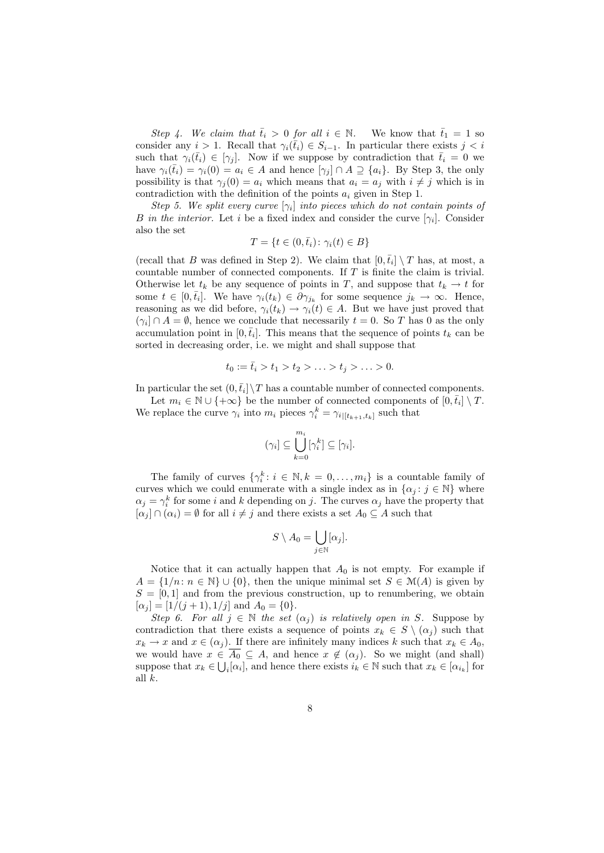Step 4. We claim that  $\bar{t}_i > 0$  for all  $i \in \mathbb{N}$ . We know that  $\bar{t}_1 = 1$  so consider any  $i > 1$ . Recall that  $\gamma_i(\bar{t}_i) \in S_{i-1}$ . In particular there exists  $j < i$ such that  $\gamma_i(\bar{t}_i) \in [\gamma_j]$ . Now if we suppose by contradiction that  $\bar{t}_i = 0$  we have  $\gamma_i(\bar{t}_i) = \gamma_i(0) = a_i \in A$  and hence  $[\gamma_j] \cap A \supseteq \{a_i\}$ . By Step 3, the only possibility is that  $\gamma_i(0) = a_i$  which means that  $a_i = a_j$  with  $i \neq j$  which is in contradiction with the definition of the points  $a_i$  given in Step 1.

Step 5. We split every curve  $[\gamma_i]$  into pieces which do not contain points of B in the interior. Let i be a fixed index and consider the curve  $[\gamma_i]$ . Consider also the set

$$
T = \{ t \in (0, \bar{t}_i) \colon \gamma_i(t) \in B \}
$$

(recall that B was defined in Step 2). We claim that  $[0, \bar{t}_i] \setminus T$  has, at most, a countable number of connected components. If T is finite the claim is trivial. Otherwise let  $t_k$  be any sequence of points in T, and suppose that  $t_k \to t$  for some  $t \in [0, \bar{t}_i]$ . We have  $\gamma_i(t_k) \in \partial \gamma_{j_k}$  for some sequence  $j_k \to \infty$ . Hence, reasoning as we did before,  $\gamma_i(t_k) \to \gamma_i(t) \in A$ . But we have just proved that  $(\gamma_i] \cap A = \emptyset$ , hence we conclude that necessarily  $t = 0$ . So T has 0 as the only accumulation point in  $[0, \bar{t}_i]$ . This means that the sequence of points  $t_k$  can be sorted in decreasing order, i.e. we might and shall suppose that

$$
t_0 := \bar{t}_i > t_1 > t_2 > \ldots > t_j > \ldots > 0.
$$

In particular the set  $(0, \bar{t}_i] \setminus T$  has a countable number of connected components.

Let  $m_i \in \mathbb{N} \cup \{+\infty\}$  be the number of connected components of  $[0, \bar{t}_i] \setminus T$ . We replace the curve  $\gamma_i$  into  $m_i$  pieces  $\gamma_i^k = \gamma_{i|[t_{k+1},t_k]}$  such that

$$
(\gamma_i] \subseteq \bigcup_{k=0}^{m_i} [\gamma_i^k] \subseteq [\gamma_i].
$$

The family of curves  $\{\gamma_i^k : i \in \mathbb{N}, k = 0, \ldots, m_i\}$  is a countable family of curves which we could enumerate with a single index as in  $\{\alpha_j : j \in \mathbb{N}\}\$  where  $\alpha_j = \gamma_i^k$  for some i and k depending on j. The curves  $\alpha_j$  have the property that  $[\alpha_i] \cap (\alpha_i) = \emptyset$  for all  $i \neq j$  and there exists a set  $A_0 \subseteq A$  such that

$$
S \setminus A_0 = \bigcup_{j \in \mathbb{N}} [\alpha_j].
$$

Notice that it can actually happen that  $A_0$  is not empty. For example if  $A = \{1/n : n \in \mathbb{N}\} \cup \{0\}$ , then the unique minimal set  $S \in \mathcal{M}(A)$  is given by  $S = [0, 1]$  and from the previous construction, up to renumbering, we obtain  $[\alpha_j] = [1/(j+1), 1/j]$  and  $A_0 = \{0\}.$ 

Step 6. For all  $j \in \mathbb{N}$  the set  $(\alpha_j)$  is relatively open in S. Suppose by contradiction that there exists a sequence of points  $x_k \in S \setminus (\alpha_i)$  such that  $x_k \to x$  and  $x \in (\alpha_j)$ . If there are infinitely many indices k such that  $x_k \in A_0$ , we would have  $x \in \overline{A_0} \subseteq A$ , and hence  $x \notin (\alpha_j)$ . So we might (and shall) suppose that  $x_k \in \bigcup_i [\alpha_i]$ , and hence there exists  $i_k \in \mathbb{N}$  such that  $x_k \in [\alpha_{i_k}]$  for all k.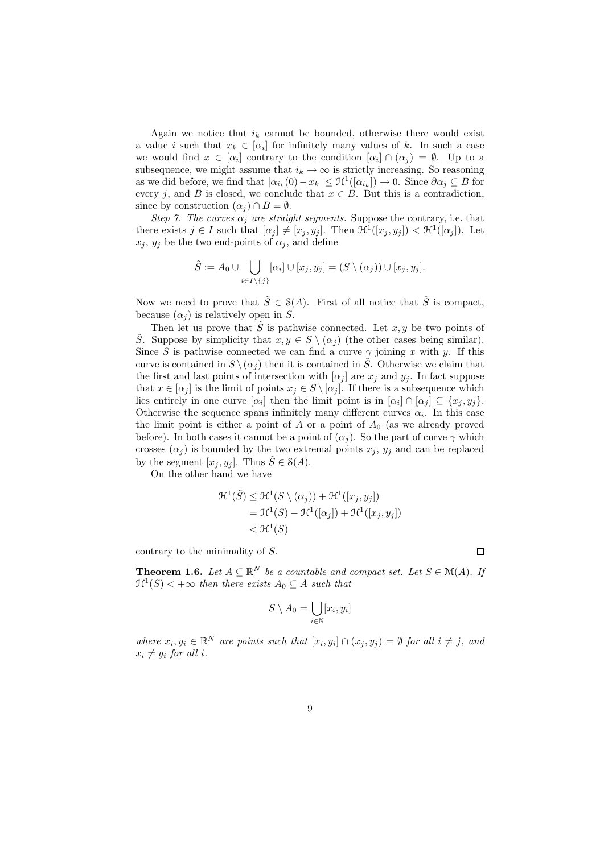Again we notice that  $i_k$  cannot be bounded, otherwise there would exist a value i such that  $x_k \in [\alpha_i]$  for infinitely many values of k. In such a case we would find  $x \in [\alpha_i]$  contrary to the condition  $[\alpha_i] \cap (\alpha_j) = \emptyset$ . Up to a subsequence, we might assume that  $i_k \to \infty$  is strictly increasing. So reasoning as we did before, we find that  $|\alpha_{i_k}(0) - x_k| \leq \mathcal{H}^1([\alpha_{i_k}]) \to 0$ . Since  $\partial \alpha_j \subseteq B$  for every j, and B is closed, we conclude that  $x \in B$ . But this is a contradiction, since by construction  $(\alpha_i) \cap B = \emptyset$ .

Step 7. The curves  $\alpha_i$  are straight segments. Suppose the contrary, i.e. that there exists  $j \in I$  such that  $[\alpha_j] \neq [x_j, y_j]$ . Then  $\mathcal{H}^1([x_j, y_j]) < \mathcal{H}^1([\alpha_j])$ . Let  $x_i, y_i$  be the two end-points of  $\alpha_i$ , and define

$$
\tilde{S} := A_0 \cup \bigcup_{i \in I \setminus \{j\}} [\alpha_i] \cup [x_j, y_j] = (S \setminus (\alpha_j)) \cup [x_j, y_j].
$$

Now we need to prove that  $\tilde{S} \in \mathcal{S}(A)$ . First of all notice that  $\tilde{S}$  is compact, because  $(\alpha_i)$  is relatively open in S.

Then let us prove that  $\tilde{S}$  is pathwise connected. Let x, y be two points of S. Suppose by simplicity that  $x, y \in S \setminus (\alpha_i)$  (the other cases being similar). Since S is pathwise connected we can find a curve  $\gamma$  joining x with y. If this curve is contained in  $S \setminus (\alpha_j)$  then it is contained in  $\tilde{S}$ . Otherwise we claim that the first and last points of intersection with  $[\alpha_j]$  are  $x_j$  and  $y_j$ . In fact suppose that  $x \in [\alpha_j]$  is the limit of points  $x_j \in S \setminus [\alpha_j]$ . If there is a subsequence which lies entirely in one curve  $[\alpha_i]$  then the limit point is in  $[\alpha_i] \cap [\alpha_j] \subseteq \{x_j, y_j\}.$ Otherwise the sequence spans infinitely many different curves  $\alpha_i$ . In this case the limit point is either a point of  $A$  or a point of  $A_0$  (as we already proved before). In both cases it cannot be a point of  $(\alpha_i)$ . So the part of curve  $\gamma$  which crosses  $(\alpha_i)$  is bounded by the two extremal points  $x_i, y_i$  and can be replaced by the segment  $[x_i, y_i]$ . Thus  $\tilde{S} \in \mathcal{S}(A)$ .

On the other hand we have

$$
\mathcal{H}^1(\tilde{S}) \leq \mathcal{H}^1(S \setminus (\alpha_j)) + \mathcal{H}^1([x_j, y_j])
$$
  
=  $\mathcal{H}^1(S) - \mathcal{H}^1([\alpha_j]) + \mathcal{H}^1([x_j, y_j])$   
<  $\mathcal{H}^1(S)$ 

contrary to the minimality of S.

**Theorem 1.6.** Let  $A \subseteq \mathbb{R}^N$  be a countable and compact set. Let  $S \in \mathcal{M}(A)$ . If  $\mathfrak{R}^1(S)$  <  $+\infty$  then there exists  $A_0 \subseteq A$  such that

$$
S \setminus A_0 = \bigcup_{i \in \mathbb{N}} [x_i, y_i]
$$

where  $x_i, y_i \in \mathbb{R}^N$  are points such that  $[x_i, y_i] \cap (x_j, y_j) = \emptyset$  for all  $i \neq j$ , and  $x_i \neq y_i$  for all i.

 $\Box$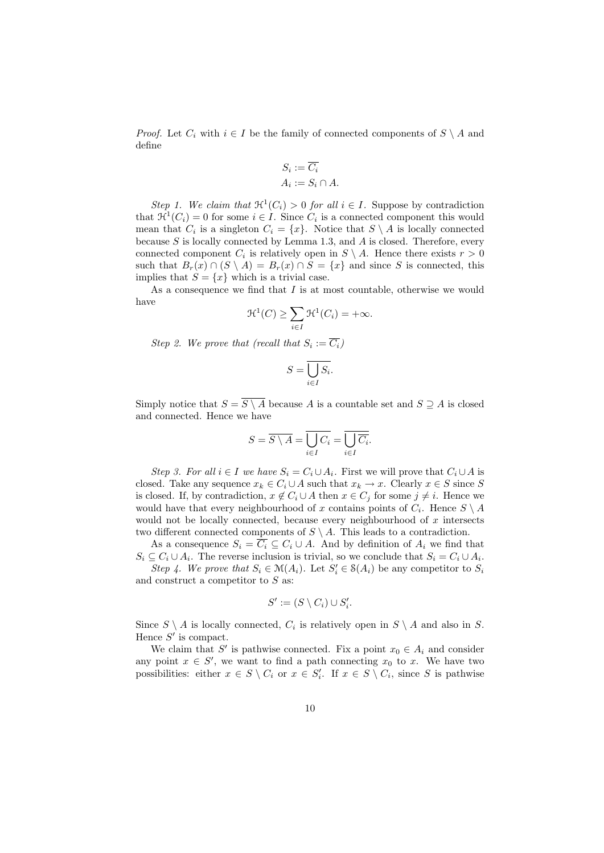*Proof.* Let  $C_i$  with  $i \in I$  be the family of connected components of  $S \setminus A$  and define

$$
S_i := \overline{C_i}
$$
  

$$
A_i := S_i \cap A.
$$

Step 1. We claim that  $\mathfrak{H}^1(C_i) > 0$  for all  $i \in I$ . Suppose by contradiction that  $\mathfrak{H}^1(C_i) = 0$  for some  $i \in I$ . Since  $C_i$  is a connected component this would mean that  $C_i$  is a singleton  $C_i = \{x\}$ . Notice that  $S \setminus A$  is locally connected because  $S$  is locally connected by Lemma 1.3, and  $A$  is closed. Therefore, every connected component  $C_i$  is relatively open in  $S \setminus A$ . Hence there exists  $r > 0$ such that  $B_r(x) \cap (S \setminus A) = B_r(x) \cap S = \{x\}$  and since S is connected, this implies that  $S = \{x\}$  which is a trivial case.

As a consequence we find that  $I$  is at most countable, otherwise we would have

$$
\mathcal{H}^1(C) \ge \sum_{i \in I} \mathcal{H}^1(C_i) = +\infty.
$$

Step 2. We prove that (recall that  $S_i := C_i$ )

$$
S=\overline{\bigcup_{i\in I}S_i}.
$$

Simply notice that  $S = \overline{S \setminus A}$  because A is a countable set and  $S \supseteq A$  is closed and connected. Hence we have

$$
S = \overline{S \setminus A} = \overline{\bigcup_{i \in I} C_i} = \overline{\bigcup_{i \in I} \overline{C_i}}.
$$

Step 3. For all  $i \in I$  we have  $S_i = C_i \cup A_i$ . First we will prove that  $C_i \cup A$  is closed. Take any sequence  $x_k \in C_i \cup A$  such that  $x_k \to x$ . Clearly  $x \in S$  since S is closed. If, by contradiction,  $x \notin C_i \cup A$  then  $x \in C_j$  for some  $j \neq i$ . Hence we would have that every neighbourhood of x contains points of  $C_i$ . Hence  $S \setminus A$ would not be locally connected, because every neighbourhood of  $x$  intersects two different connected components of  $S \setminus A$ . This leads to a contradiction.

As a consequence  $S_i = \overline{C_i} \subseteq C_i \cup A$ . And by definition of  $A_i$  we find that  $S_i \subseteq C_i \cup A_i$ . The reverse inclusion is trivial, so we conclude that  $S_i = C_i \cup A_i$ . Step 4. We prove that  $S_i \in \mathcal{M}(A_i)$ . Let  $S'_i \in \mathcal{S}(A_i)$  be any competitor to  $S_i$ and construct a competitor to  $S$  as:

$$
S' := (S \setminus C_i) \cup S'_i.
$$

Since  $S \setminus A$  is locally connected,  $C_i$  is relatively open in  $S \setminus A$  and also in S. Hence  $S'$  is compact.

We claim that S' is pathwise connected. Fix a point  $x_0 \in A_i$  and consider any point  $x \in S'$ , we want to find a path connecting  $x_0$  to x. We have two possibilities: either  $x \in S \setminus C_i$  or  $x \in S'_i$ . If  $x \in S \setminus C_i$ , since S is pathwise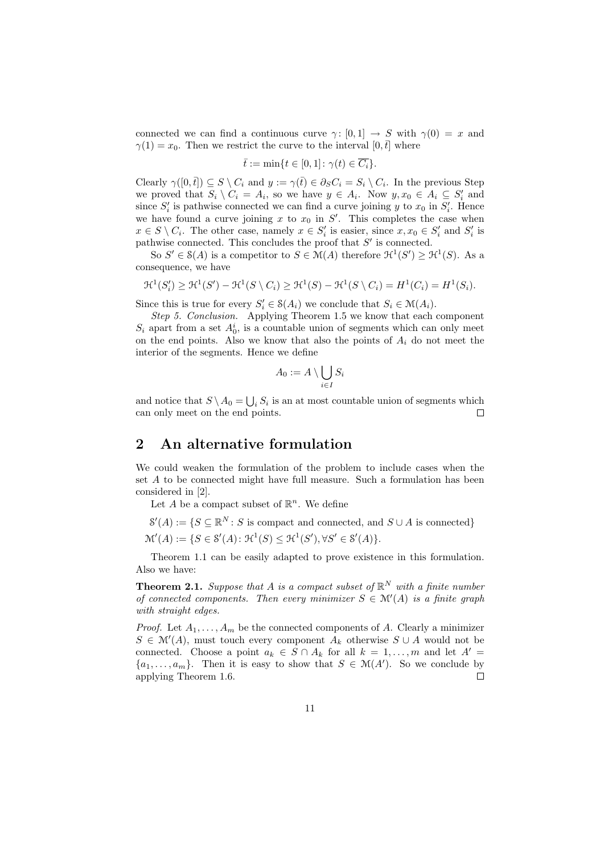connected we can find a continuous curve  $\gamma: [0, 1] \to S$  with  $\gamma(0) = x$  and  $\gamma(1) = x_0$ . Then we restrict the curve to the interval  $[0, \bar{t}]$  where

$$
\bar{t} := \min\{t \in [0,1] \colon \gamma(t) \in \overline{C_i}\}.
$$

Clearly  $\gamma([0, \bar{t}]) \subseteq S \setminus C_i$  and  $y := \gamma(\bar{t}) \in \partial_S C_i = S_i \setminus C_i$ . In the previous Step we proved that  $S_i \setminus C_i = A_i$ , so we have  $y \in A_i$ . Now  $y, x_0 \in A_i \subseteq S'_i$  and since  $S_i'$  is pathwise connected we can find a curve joining y to  $x_0$  in  $S_i'$ . Hence we have found a curve joining  $x$  to  $x_0$  in  $S'$ . This completes the case when  $x \in S \setminus C_i$ . The other case, namely  $x \in S'_i$  is easier, since  $x, x_0 \in S'_i$  and  $S'_i$  is pathwise connected. This concludes the proof that  $S'$  is connected.

So  $S' \in \mathcal{S}(A)$  is a competitor to  $S \in \mathcal{M}(A)$  therefore  $\mathcal{H}^1(S') \geq \mathcal{H}^1(S)$ . As a consequence, we have

$$
\mathcal{H}^1(S_i') \geq \mathcal{H}^1(S') - \mathcal{H}^1(S \setminus C_i) \geq \mathcal{H}^1(S) - \mathcal{H}^1(S \setminus C_i) = H^1(C_i) = H^1(S_i).
$$

Since this is true for every  $S_i' \in \mathcal{S}(A_i)$  we conclude that  $S_i \in \mathcal{M}(A_i)$ .

Step 5. Conclusion. Applying Theorem 1.5 we know that each component  $S_i$  apart from a set  $A_0^i$ , is a countable union of segments which can only meet on the end points. Also we know that also the points of  $A_i$  do not meet the interior of the segments. Hence we define

$$
A_0 := A \setminus \bigcup_{i \in I} S_i
$$

and notice that  $S \setminus A_0 = \bigcup_i S_i$  is an at most countable union of segments which can only meet on the end points.  $\Box$ 

#### 2 An alternative formulation

We could weaken the formulation of the problem to include cases when the set A to be connected might have full measure. Such a formulation has been considered in [2].

Let A be a compact subset of  $\mathbb{R}^n$ . We define

- $\mathcal{S}'(A) := \{ S \subseteq \mathbb{R}^N : S \text{ is compact and connected, and } S \cup A \text{ is connected} \}$
- $\mathcal{M}'(A) := \{ S \in \mathcal{S}'(A) : \mathcal{H}^1(S) \leq \mathcal{H}^1(S') , \forall S' \in \mathcal{S}'(A) \}.$

Theorem 1.1 can be easily adapted to prove existence in this formulation. Also we have:

**Theorem 2.1.** Suppose that A is a compact subset of  $\mathbb{R}^N$  with a finite number of connected components. Then every minimizer  $S \in \mathcal{M}'(A)$  is a finite graph with straight edges.

*Proof.* Let  $A_1, \ldots, A_m$  be the connected components of A. Clearly a minimizer  $S \in \mathcal{M}'(A)$ , must touch every component  $A_k$  otherwise  $S \cup A$  would not be connected. Choose a point  $a_k \in S \cap A_k$  for all  $k = 1, \ldots, m$  and let  $A' =$  $\{a_1, \ldots, a_m\}$ . Then it is easy to show that  $S \in \mathcal{M}(A')$ . So we conclude by applying Theorem 1.6.  $\Box$